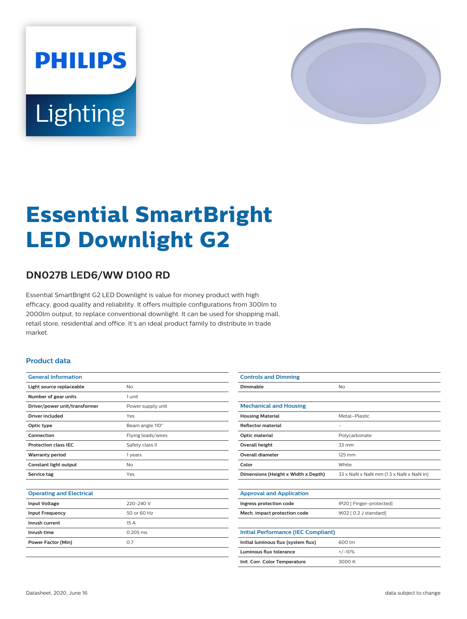



# **Essential SmartBright LED Downlight G2**

# **DN027B LED6/WW D100 RD**

Essential SmartBright G2 LED Downlight is value for money product with high efficacy, good quality and reliability. It offers multiple configurations from 300lm to 2000lm output, to replace conventional downlight. It can be used for shopping mall, retail store, residential and office. It's an ideal product family to distribute in trade market.

#### **Product data**

| <b>General Information</b>    |                    |
|-------------------------------|--------------------|
| Light source replaceable      | N <sub>o</sub>     |
| Number of gear units          | 1 unit             |
| Driver/power unit/transformer | Power supply unit  |
| <b>Driver included</b>        | Yes                |
| Optic type                    | Beam angle 110°    |
| Connection                    | Flying leads/wires |
| <b>Protection class IEC</b>   | Safety class II    |
| <b>Warranty period</b>        | 1 years            |
| Constant light output         | No                 |
| Service tag                   | Yes                |
|                               |                    |

| <b>Operating and Electrical</b> |  |  |
|---------------------------------|--|--|
|                                 |  |  |
|                                 |  |  |

| <b>Input Voltage</b>   | 220-240 V   |
|------------------------|-------------|
| <b>Input Frequency</b> | 50 or 60 Hz |
| Inrush current         | 15A         |
| Inrush time            | $0.205$ ms  |
| Power Factor (Min)     | 0.7         |
|                        |             |

| <b>Controls and Dimming</b>                |                                                                    |
|--------------------------------------------|--------------------------------------------------------------------|
| Dimmable                                   | No                                                                 |
|                                            |                                                                    |
| <b>Mechanical and Housing</b>              |                                                                    |
| <b>Housing Material</b>                    | Metal-Plastic                                                      |
| <b>Reflector material</b>                  | $\overline{\phantom{0}}$                                           |
| Optic material                             | Polycarbonate                                                      |
| <b>Overall height</b>                      | $33 \text{ mm}$                                                    |
| <b>Overall diameter</b>                    | 125 mm                                                             |
| Color                                      | White                                                              |
| Dimensions (Height x Width x Depth)        | $33 \times$ NaN $\times$ NaN mm (1.3 $\times$ NaN $\times$ NaN in) |
|                                            |                                                                    |
| <b>Approval and Application</b>            |                                                                    |
| Ingress protection code                    | IP20 [ Finger-protected]                                           |
| Mech. impact protection code               | IK02 [ 0.2 J standard]                                             |
|                                            |                                                                    |
| <b>Initial Performance (IEC Compliant)</b> |                                                                    |
| Initial luminous flux (system flux)        | 600 lm                                                             |
| Luminous flux tolerance                    | $+/-10%$                                                           |
| Init. Corr. Color Temperature              | 3000 K                                                             |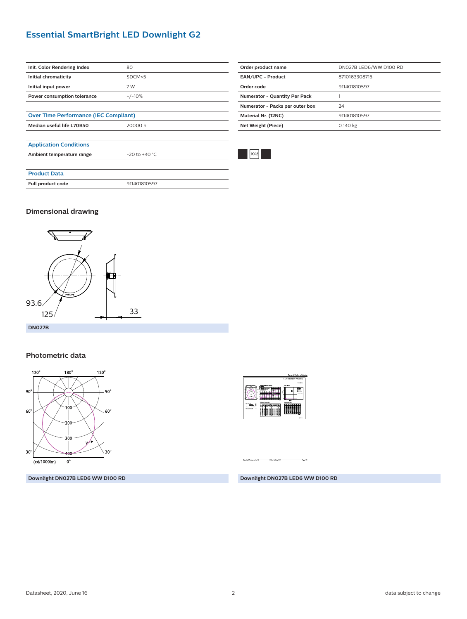# **Essential SmartBright LED Downlight G2**

| Init. Color Rendering Index                  | 80                 |
|----------------------------------------------|--------------------|
| Initial chromaticity                         | SDCM<5             |
| Initial input power                          | 7 W                |
| Power consumption tolerance                  | $+/-10%$           |
|                                              |                    |
| <b>Over Time Performance (IEC Compliant)</b> |                    |
| Median useful life L70B50                    | 20000 h            |
|                                              |                    |
| <b>Application Conditions</b>                |                    |
| Ambient temperature range                    | $-20$ to $+40$ °C. |
|                                              |                    |
| <b>Product Data</b>                          |                    |
| Full product code                            | 911401810597       |
|                                              |                    |



### **Dimensional drawing**



#### **Photometric data**



**Downlight DN027B LED6 WW D100 RD**

X 再样

**Downlight DN027B LED6 WW D100 RD**